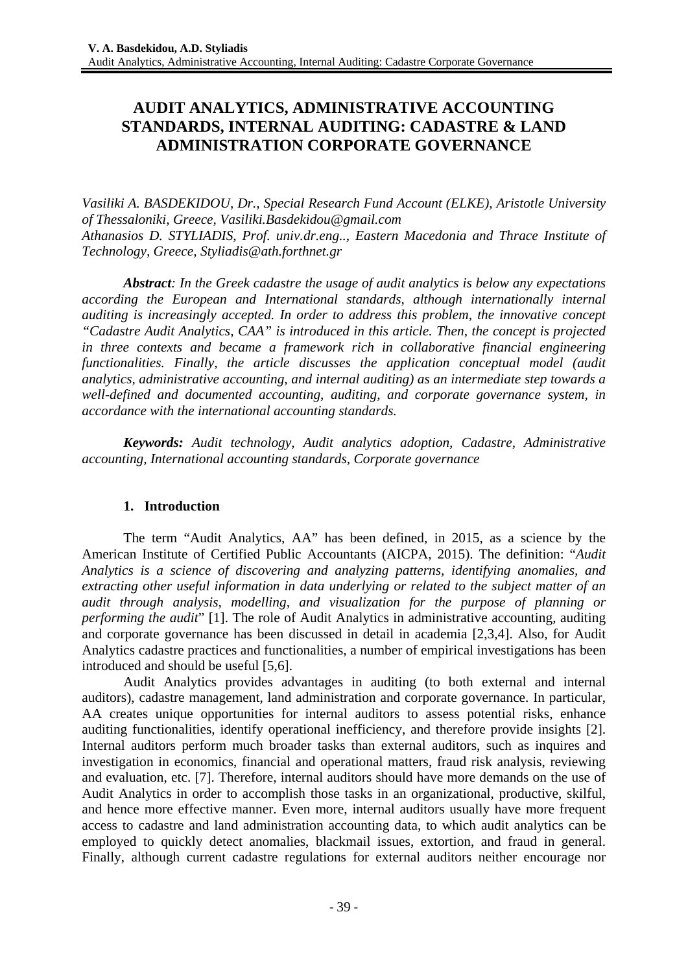# **AUDIT ANALYTICS, ADMINISTRATIVE ACCOUNTING STANDARDS, INTERNAL AUDITING: CADASTRE & LAND ADMINISTRATION CORPORATE GOVERNANCE**

*Vasiliki A. BASDEKIDOU, Dr., Special Research Fund Account (ELKE), Aristotle University of Thessaloniki, Greece, Vasiliki.Basdekidou@gmail.com Athanasios D. STYLIADIS, Prof. univ.dr.eng.., Eastern Macedonia and Thrace Institute of Technology, Greece, Styliadis@ath.forthnet.gr* 

*Abstract: In the Greek cadastre the usage of audit analytics is below any expectations according the European and International standards, although internationally internal auditing is increasingly accepted. In order to address this problem, the innovative concept "Cadastre Audit Analytics, CAA" is introduced in this article. Then, the concept is projected in three contexts and became a framework rich in collaborative financial engineering functionalities. Finally, the article discusses the application conceptual model (audit analytics, administrative accounting, and internal auditing) as an intermediate step towards a well-defined and documented accounting, auditing, and corporate governance system, in accordance with the international accounting standards.* 

*Keywords: Audit technology, Audit analytics adoption, Cadastre, Administrative accounting, International accounting standards, Corporate governance* 

# **1. Introduction**

The term "Audit Analytics, AA" has been defined, in 2015, as a science by the American Institute of Certified Public Accountants (AICPA, 2015). The definition: "*Audit Analytics is a science of discovering and analyzing patterns, identifying anomalies, and extracting other useful information in data underlying or related to the subject matter of an audit through analysis, modelling, and visualization for the purpose of planning or performing the audit*" [1]. The role of Audit Analytics in administrative accounting, auditing and corporate governance has been discussed in detail in academia [2,3,4]. Also, for Audit Analytics cadastre practices and functionalities, a number of empirical investigations has been introduced and should be useful [5,6].

Audit Analytics provides advantages in auditing (to both external and internal auditors), cadastre management, land administration and corporate governance. In particular, AA creates unique opportunities for internal auditors to assess potential risks, enhance auditing functionalities, identify operational inefficiency, and therefore provide insights [2]. Internal auditors perform much broader tasks than external auditors, such as inquires and investigation in economics, financial and operational matters, fraud risk analysis, reviewing and evaluation, etc. [7]. Therefore, internal auditors should have more demands on the use of Audit Analytics in order to accomplish those tasks in an organizational, productive, skilful, and hence more effective manner. Even more, internal auditors usually have more frequent access to cadastre and land administration accounting data, to which audit analytics can be employed to quickly detect anomalies, blackmail issues, extortion, and fraud in general. Finally, although current cadastre regulations for external auditors neither encourage nor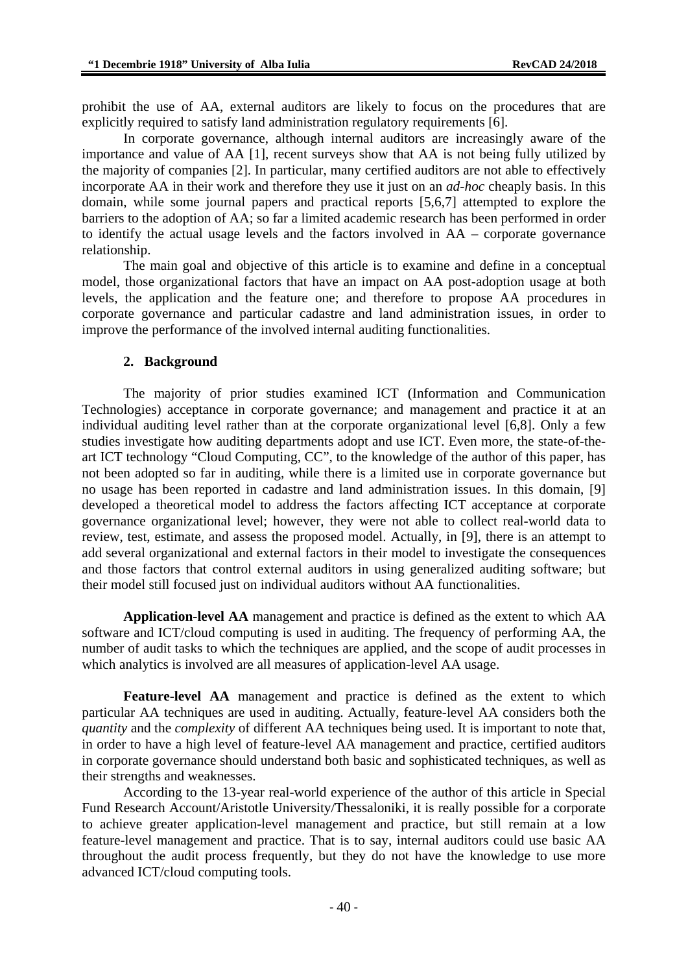prohibit the use of AA, external auditors are likely to focus on the procedures that are explicitly required to satisfy land administration regulatory requirements [6].

In corporate governance, although internal auditors are increasingly aware of the importance and value of AA [1], recent surveys show that AA is not being fully utilized by the majority of companies [2]. In particular, many certified auditors are not able to effectively incorporate AA in their work and therefore they use it just on an *ad-hoc* cheaply basis. In this domain, while some journal papers and practical reports [5,6,7] attempted to explore the barriers to the adoption of AA; so far a limited academic research has been performed in order to identify the actual usage levels and the factors involved in AA – corporate governance relationship.

The main goal and objective of this article is to examine and define in a conceptual model, those organizational factors that have an impact on AA post-adoption usage at both levels, the application and the feature one; and therefore to propose AA procedures in corporate governance and particular cadastre and land administration issues, in order to improve the performance of the involved internal auditing functionalities.

### **2. Background**

The majority of prior studies examined ICT (Information and Communication Technologies) acceptance in corporate governance; and management and practice it at an individual auditing level rather than at the corporate organizational level [6,8]. Only a few studies investigate how auditing departments adopt and use ICT. Even more, the state-of-theart ICT technology "Cloud Computing, CC", to the knowledge of the author of this paper, has not been adopted so far in auditing, while there is a limited use in corporate governance but no usage has been reported in cadastre and land administration issues. In this domain, [9] developed a theoretical model to address the factors affecting ICT acceptance at corporate governance organizational level; however, they were not able to collect real-world data to review, test, estimate, and assess the proposed model. Actually, in [9], there is an attempt to add several organizational and external factors in their model to investigate the consequences and those factors that control external auditors in using generalized auditing software; but their model still focused just on individual auditors without AA functionalities.

**Application-level AA** management and practice is defined as the extent to which AA software and ICT/cloud computing is used in auditing. The frequency of performing AA, the number of audit tasks to which the techniques are applied, and the scope of audit processes in which analytics is involved are all measures of application-level AA usage.

**Feature-level AA** management and practice is defined as the extent to which particular AA techniques are used in auditing. Actually, feature-level AA considers both the *quantity* and the *complexity* of different AA techniques being used. It is important to note that, in order to have a high level of feature-level AA management and practice, certified auditors in corporate governance should understand both basic and sophisticated techniques, as well as their strengths and weaknesses.

According to the 13-year real-world experience of the author of this article in Special Fund Research Account/Aristotle University/Thessaloniki, it is really possible for a corporate to achieve greater application-level management and practice, but still remain at a low feature-level management and practice. That is to say, internal auditors could use basic AA throughout the audit process frequently, but they do not have the knowledge to use more advanced ICT/cloud computing tools.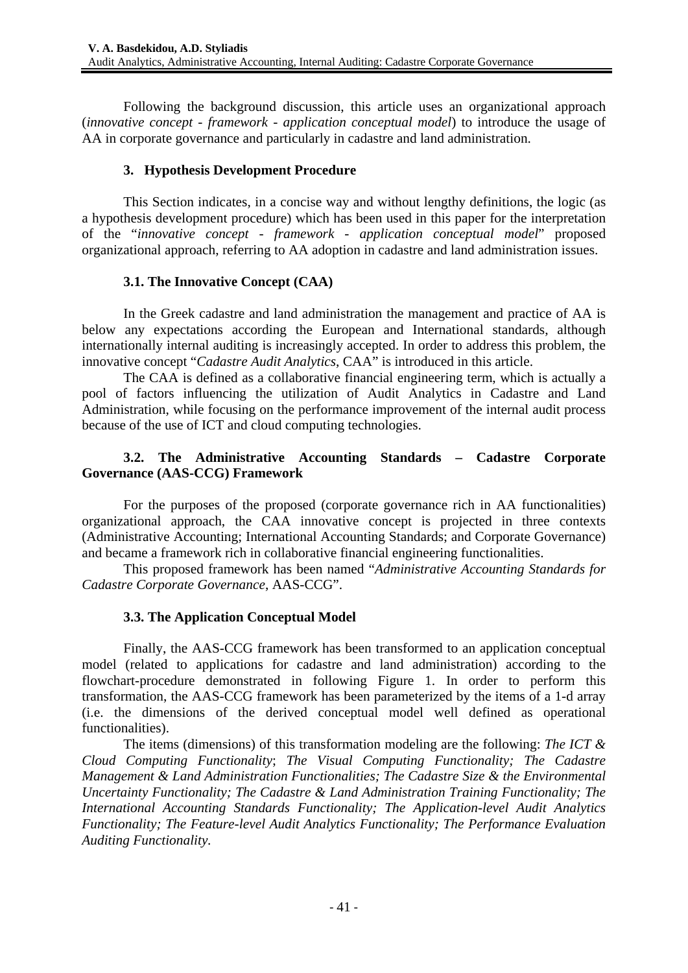Following the background discussion, this article uses an organizational approach (*innovative concept* - *framework* - *application conceptual model*) to introduce the usage of AA in corporate governance and particularly in cadastre and land administration.

### **3. Hypothesis Development Procedure**

This Section indicates, in a concise way and without lengthy definitions, the logic (as a hypothesis development procedure) which has been used in this paper for the interpretation of the "*innovative concept - framework - application conceptual model*" proposed organizational approach, referring to AA adoption in cadastre and land administration issues.

# **3.1. The Innovative Concept (CAA)**

In the Greek cadastre and land administration the management and practice of AA is below any expectations according the European and International standards, although internationally internal auditing is increasingly accepted. In order to address this problem, the innovative concept "*Cadastre Audit Analytics*, CAA" is introduced in this article.

The CAA is defined as a collaborative financial engineering term, which is actually a pool of factors influencing the utilization of Audit Analytics in Cadastre and Land Administration, while focusing on the performance improvement of the internal audit process because of the use of ICT and cloud computing technologies.

# **3.2. The Administrative Accounting Standards – Cadastre Corporate Governance (AAS-CCG) Framework**

For the purposes of the proposed (corporate governance rich in AA functionalities) organizational approach, the CAA innovative concept is projected in three contexts (Administrative Accounting; International Accounting Standards; and Corporate Governance) and became a framework rich in collaborative financial engineering functionalities.

This proposed framework has been named "*Administrative Accounting Standards for Cadastre Corporate Governance*, AAS-CCG".

### **3.3. The Application Conceptual Model**

Finally, the AAS-CCG framework has been transformed to an application conceptual model (related to applications for cadastre and land administration) according to the flowchart-procedure demonstrated in following Figure 1. In order to perform this transformation, the AAS-CCG framework has been parameterized by the items of a 1-d array (i.e. the dimensions of the derived conceptual model well defined as operational functionalities).

The items (dimensions) of this transformation modeling are the following: *The ICT & Cloud Computing Functionality*; *The Visual Computing Functionality; The Cadastre Management & Land Administration Functionalities; The Cadastre Size & the Environmental Uncertainty Functionality; The Cadastre & Land Administration Training Functionality; The International Accounting Standards Functionality; The Application-level Audit Analytics Functionality; The Feature-level Audit Analytics Functionality; The Performance Evaluation Auditing Functionality.*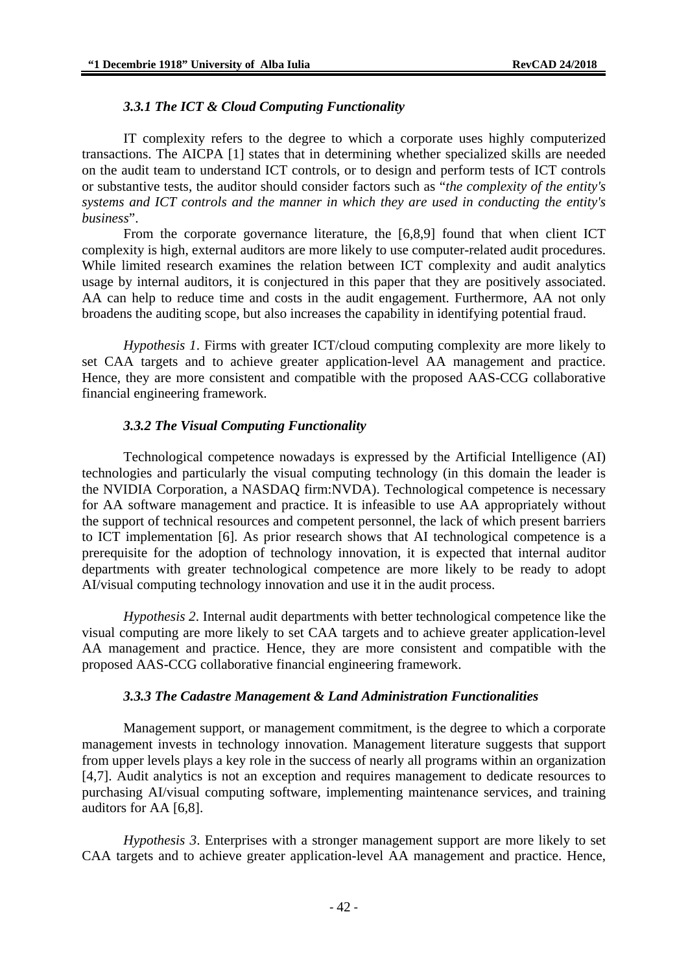#### *3.3.1 The ICT & Cloud Computing Functionality*

IT complexity refers to the degree to which a corporate uses highly computerized transactions. The AICPA [1] states that in determining whether specialized skills are needed on the audit team to understand ICT controls, or to design and perform tests of ICT controls or substantive tests, the auditor should consider factors such as "*the complexity of the entity's systems and ICT controls and the manner in which they are used in conducting the entity's business*".

From the corporate governance literature, the [6,8,9] found that when client ICT complexity is high, external auditors are more likely to use computer-related audit procedures. While limited research examines the relation between ICT complexity and audit analytics usage by internal auditors, it is conjectured in this paper that they are positively associated. AA can help to reduce time and costs in the audit engagement. Furthermore, AA not only broadens the auditing scope, but also increases the capability in identifying potential fraud.

*Hypothesis 1*. Firms with greater ICT/cloud computing complexity are more likely to set CAA targets and to achieve greater application-level AA management and practice. Hence, they are more consistent and compatible with the proposed AAS-CCG collaborative financial engineering framework.

#### *3.3.2 The Visual Computing Functionality*

Technological competence nowadays is expressed by the Artificial Intelligence (AI) technologies and particularly the visual computing technology (in this domain the leader is the NVIDIA Corporation, a NASDAQ firm:NVDA). Technological competence is necessary for AA software management and practice. It is infeasible to use AA appropriately without the support of technical resources and competent personnel, the lack of which present barriers to ICT implementation [6]. As prior research shows that AI technological competence is a prerequisite for the adoption of technology innovation, it is expected that internal auditor departments with greater technological competence are more likely to be ready to adopt AI/visual computing technology innovation and use it in the audit process.

*Hypothesis 2*. Internal audit departments with better technological competence like the visual computing are more likely to set CAA targets and to achieve greater application-level AA management and practice. Hence, they are more consistent and compatible with the proposed AAS-CCG collaborative financial engineering framework.

#### *3.3.3 The Cadastre Management & Land Administration Functionalities*

Management support, or management commitment, is the degree to which a corporate management invests in technology innovation. Management literature suggests that support from upper levels plays a key role in the success of nearly all programs within an organization [4,7]. Audit analytics is not an exception and requires management to dedicate resources to purchasing AI/visual computing software, implementing maintenance services, and training auditors for AA [6,8].

*Hypothesis 3*. Enterprises with a stronger management support are more likely to set CAA targets and to achieve greater application-level AA management and practice. Hence,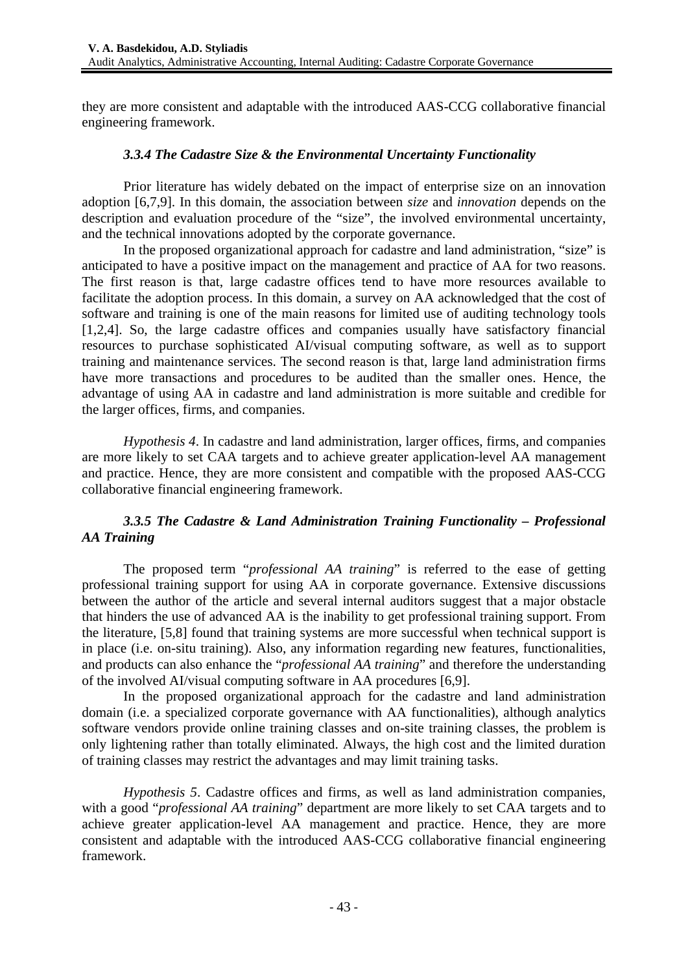they are more consistent and adaptable with the introduced AAS-CCG collaborative financial engineering framework.

### *3.3.4 The Cadastre Size & the Environmental Uncertainty Functionality*

Prior literature has widely debated on the impact of enterprise size on an innovation adoption [6,7,9]. In this domain, the association between *size* and *innovation* depends on the description and evaluation procedure of the "size", the involved environmental uncertainty, and the technical innovations adopted by the corporate governance.

In the proposed organizational approach for cadastre and land administration, "size" is anticipated to have a positive impact on the management and practice of AA for two reasons. The first reason is that, large cadastre offices tend to have more resources available to facilitate the adoption process. In this domain, a survey on AA acknowledged that the cost of software and training is one of the main reasons for limited use of auditing technology tools [1,2,4]. So, the large cadastre offices and companies usually have satisfactory financial resources to purchase sophisticated AI/visual computing software, as well as to support training and maintenance services. The second reason is that, large land administration firms have more transactions and procedures to be audited than the smaller ones. Hence, the advantage of using AA in cadastre and land administration is more suitable and credible for the larger offices, firms, and companies.

*Hypothesis 4*. In cadastre and land administration, larger offices, firms, and companies are more likely to set CAA targets and to achieve greater application-level AA management and practice. Hence, they are more consistent and compatible with the proposed AAS-CCG collaborative financial engineering framework.

# *3.3.5 The Cadastre & Land Administration Training Functionality – Professional AA Training*

The proposed term "*professional AA training*" is referred to the ease of getting professional training support for using AA in corporate governance. Extensive discussions between the author of the article and several internal auditors suggest that a major obstacle that hinders the use of advanced AA is the inability to get professional training support. From the literature, [5,8] found that training systems are more successful when technical support is in place (i.e. on-situ training). Also, any information regarding new features, functionalities, and products can also enhance the "*professional AA training*" and therefore the understanding of the involved AI/visual computing software in AA procedures [6,9].

In the proposed organizational approach for the cadastre and land administration domain (i.e. a specialized corporate governance with AA functionalities), although analytics software vendors provide online training classes and on-site training classes, the problem is only lightening rather than totally eliminated. Always, the high cost and the limited duration of training classes may restrict the advantages and may limit training tasks.

*Hypothesis 5*. Cadastre offices and firms, as well as land administration companies, with a good "*professional AA training*" department are more likely to set CAA targets and to achieve greater application-level AA management and practice. Hence, they are more consistent and adaptable with the introduced AAS-CCG collaborative financial engineering framework.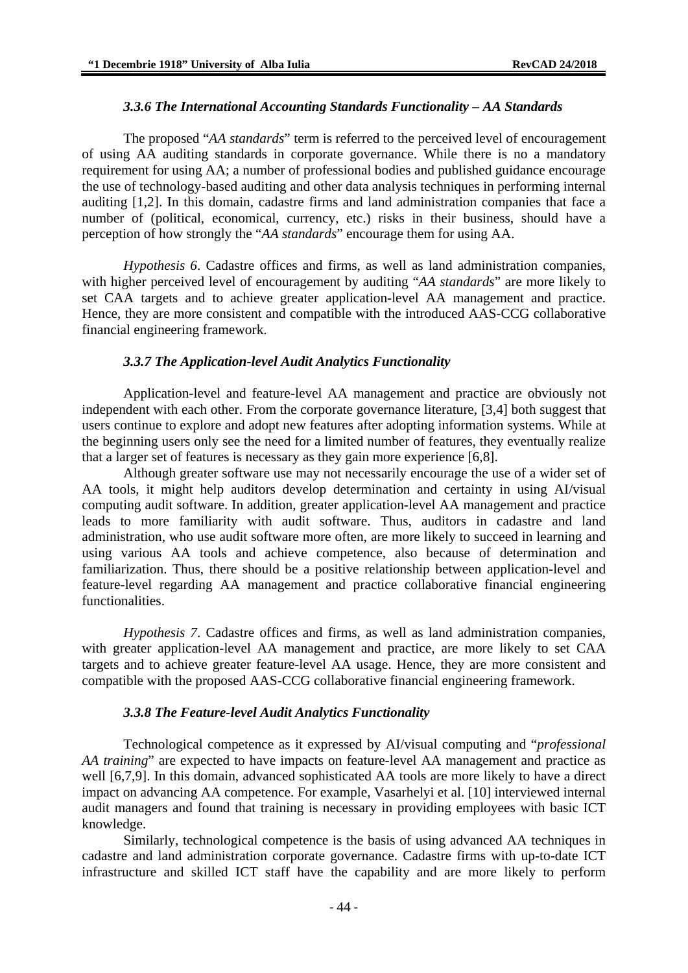#### *3.3.6 The International Accounting Standards Functionality – AA Standards*

The proposed "*AA standards*" term is referred to the perceived level of encouragement of using AA auditing standards in corporate governance. While there is no a mandatory requirement for using AA; a number of professional bodies and published guidance encourage the use of technology-based auditing and other data analysis techniques in performing internal auditing [1,2]. In this domain, cadastre firms and land administration companies that face a number of (political, economical, currency, etc.) risks in their business, should have a perception of how strongly the "*AA standards*" encourage them for using AA.

*Hypothesis 6*. Cadastre offices and firms, as well as land administration companies, with higher perceived level of encouragement by auditing "*AA standards*" are more likely to set CAA targets and to achieve greater application-level AA management and practice. Hence, they are more consistent and compatible with the introduced AAS-CCG collaborative financial engineering framework.

#### *3.3.7 The Application-level Audit Analytics Functionality*

Application-level and feature-level AA management and practice are obviously not independent with each other. From the corporate governance literature, [3,4] both suggest that users continue to explore and adopt new features after adopting information systems. While at the beginning users only see the need for a limited number of features, they eventually realize that a larger set of features is necessary as they gain more experience [6,8].

Although greater software use may not necessarily encourage the use of a wider set of AA tools, it might help auditors develop determination and certainty in using AI/visual computing audit software. In addition, greater application-level AA management and practice leads to more familiarity with audit software. Thus, auditors in cadastre and land administration, who use audit software more often, are more likely to succeed in learning and using various AA tools and achieve competence, also because of determination and familiarization. Thus, there should be a positive relationship between application-level and feature-level regarding AA management and practice collaborative financial engineering functionalities.

*Hypothesis 7*. Cadastre offices and firms, as well as land administration companies, with greater application-level AA management and practice, are more likely to set CAA targets and to achieve greater feature-level AA usage. Hence, they are more consistent and compatible with the proposed AAS-CCG collaborative financial engineering framework.

#### *3.3.8 The Feature-level Audit Analytics Functionality*

Technological competence as it expressed by AI/visual computing and "*professional AA training*" are expected to have impacts on feature-level AA management and practice as well [6,7,9]. In this domain, advanced sophisticated AA tools are more likely to have a direct impact on advancing AA competence. For example, Vasarhelyi et al. [10] interviewed internal audit managers and found that training is necessary in providing employees with basic ICT knowledge.

Similarly, technological competence is the basis of using advanced AA techniques in cadastre and land administration corporate governance. Cadastre firms with up-to-date ICT infrastructure and skilled ICT staff have the capability and are more likely to perform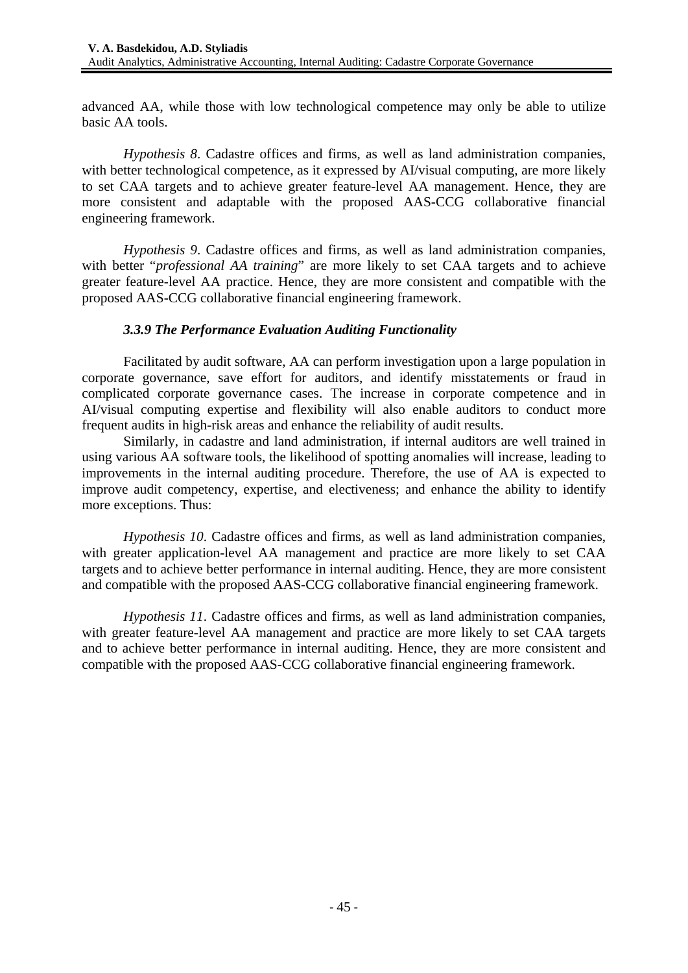advanced AA, while those with low technological competence may only be able to utilize basic AA tools.

*Hypothesis 8*. Cadastre offices and firms, as well as land administration companies, with better technological competence, as it expressed by AI/visual computing, are more likely to set CAA targets and to achieve greater feature-level AA management. Hence, they are more consistent and adaptable with the proposed AAS-CCG collaborative financial engineering framework.

*Hypothesis 9*. Cadastre offices and firms, as well as land administration companies, with better "*professional AA training*" are more likely to set CAA targets and to achieve greater feature-level AA practice. Hence, they are more consistent and compatible with the proposed AAS-CCG collaborative financial engineering framework.

### *3.3.9 The Performance Evaluation Auditing Functionality*

Facilitated by audit software, AA can perform investigation upon a large population in corporate governance, save effort for auditors, and identify misstatements or fraud in complicated corporate governance cases. The increase in corporate competence and in AI/visual computing expertise and flexibility will also enable auditors to conduct more frequent audits in high-risk areas and enhance the reliability of audit results.

Similarly, in cadastre and land administration, if internal auditors are well trained in using various AA software tools, the likelihood of spotting anomalies will increase, leading to improvements in the internal auditing procedure. Therefore, the use of AA is expected to improve audit competency, expertise, and electiveness; and enhance the ability to identify more exceptions. Thus:

*Hypothesis 10*. Cadastre offices and firms, as well as land administration companies, with greater application-level AA management and practice are more likely to set CAA targets and to achieve better performance in internal auditing. Hence, they are more consistent and compatible with the proposed AAS-CCG collaborative financial engineering framework.

*Hypothesis 11*. Cadastre offices and firms, as well as land administration companies, with greater feature-level AA management and practice are more likely to set CAA targets and to achieve better performance in internal auditing. Hence, they are more consistent and compatible with the proposed AAS-CCG collaborative financial engineering framework.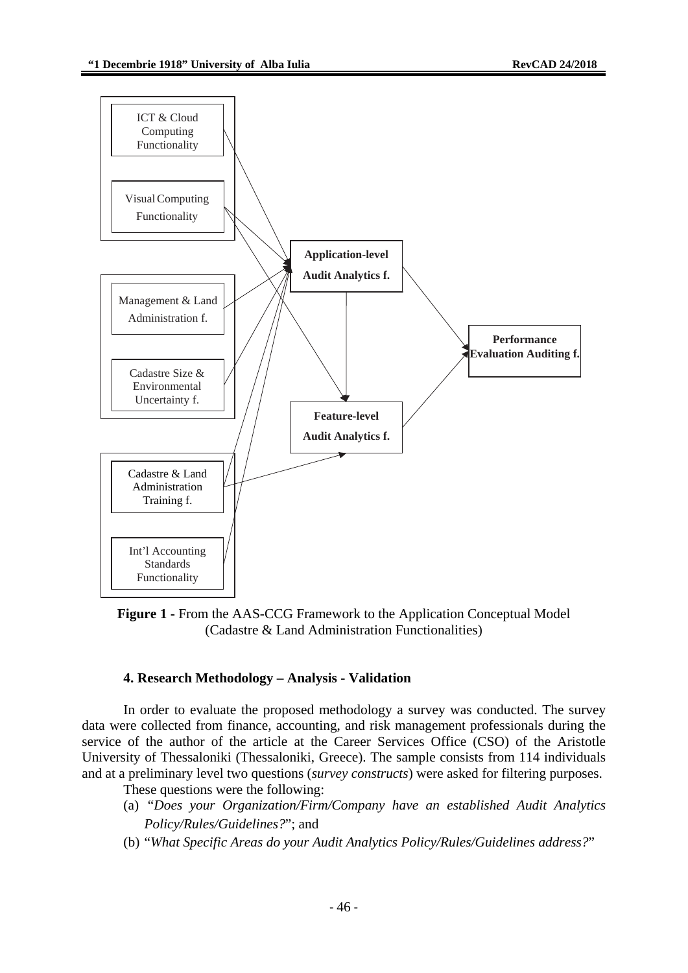

**Figure 1 -** From the AAS-CCG Framework to the Application Conceptual Model (Cadastre & Land Administration Functionalities)

### **4. Research Methodology – Analysis - Validation**

In order to evaluate the proposed methodology a survey was conducted. The survey data were collected from finance, accounting, and risk management professionals during the service of the author of the article at the Career Services Office (CSO) of the Aristotle University of Thessaloniki (Thessaloniki, Greece). The sample consists from 114 individuals and at a preliminary level two questions (*survey constructs*) were asked for filtering purposes.

- These questions were the following:
- (a) "*Does your Organization/Firm/Company have an established Audit Analytics Policy/Rules/Guidelines?*"; and
- (b) "*What Specific Areas do your Audit Analytics Policy/Rules/Guidelines address?*"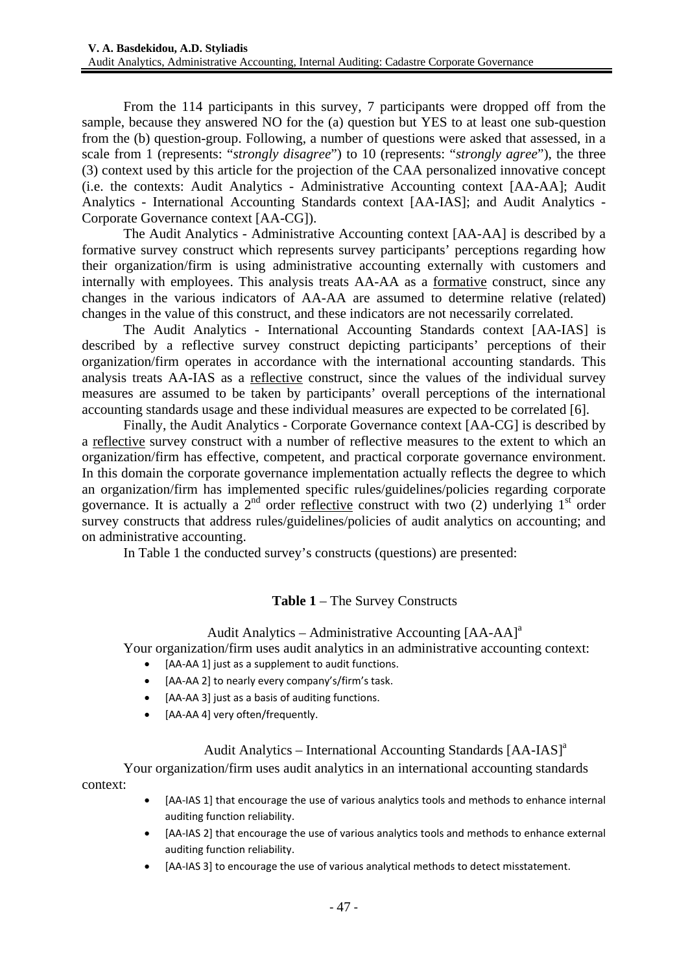From the 114 participants in this survey, 7 participants were dropped off from the sample, because they answered NO for the (a) question but YES to at least one sub-question from the (b) question-group. Following, a number of questions were asked that assessed, in a scale from 1 (represents: "*strongly disagree*") to 10 (represents: "*strongly agree*"), the three (3) context used by this article for the projection of the CAA personalized innovative concept (i.e. the contexts: Audit Analytics - Administrative Accounting context [AA-AA]; Audit Analytics - International Accounting Standards context [AA-IAS]; and Audit Analytics - Corporate Governance context [AA-CG]).

The Audit Analytics - Administrative Accounting context [AA-AA] is described by a formative survey construct which represents survey participants' perceptions regarding how their organization/firm is using administrative accounting externally with customers and internally with employees. This analysis treats AA-AA as a formative construct, since any changes in the various indicators of AA-AA are assumed to determine relative (related) changes in the value of this construct, and these indicators are not necessarily correlated.

The Audit Analytics - International Accounting Standards context [AA-IAS] is described by a reflective survey construct depicting participants' perceptions of their organization/firm operates in accordance with the international accounting standards. This analysis treats AA-IAS as a reflective construct, since the values of the individual survey measures are assumed to be taken by participants' overall perceptions of the international accounting standards usage and these individual measures are expected to be correlated [6].

Finally, the Audit Analytics - Corporate Governance context [AA-CG] is described by a reflective survey construct with a number of reflective measures to the extent to which an organization/firm has effective, competent, and practical corporate governance environment. In this domain the corporate governance implementation actually reflects the degree to which an organization/firm has implemented specific rules/guidelines/policies regarding corporate governance. It is actually a  $2<sup>nd</sup>$  order reflective construct with two (2) underlying 1<sup>st</sup> order survey constructs that address rules/guidelines/policies of audit analytics on accounting; and on administrative accounting.

In Table 1 the conducted survey's constructs (questions) are presented:

### **Table 1** – The Survey Constructs

### Audit Analytics – Administrative Accounting  $[AA-AA]^a$

Your organization/firm uses audit analytics in an administrative accounting context:

- [AA-AA 1] just as a supplement to audit functions.
- [AA‐AA 2] to nearly every company's/firm's task.
- [AA-AA 3] just as a basis of auditing functions.
- [AA-AA 4] very often/frequently.

# Audit Analytics – International Accounting Standards  $[AA-IAS]^a$

Your organization/firm uses audit analytics in an international accounting standards context:

- [AA-IAS 1] that encourage the use of various analytics tools and methods to enhance internal auditing function reliability.
	- [AA‐IAS 2] that encourage the use of various analytics tools and methods to enhance external auditing function reliability.
	- [AA-IAS 3] to encourage the use of various analytical methods to detect misstatement.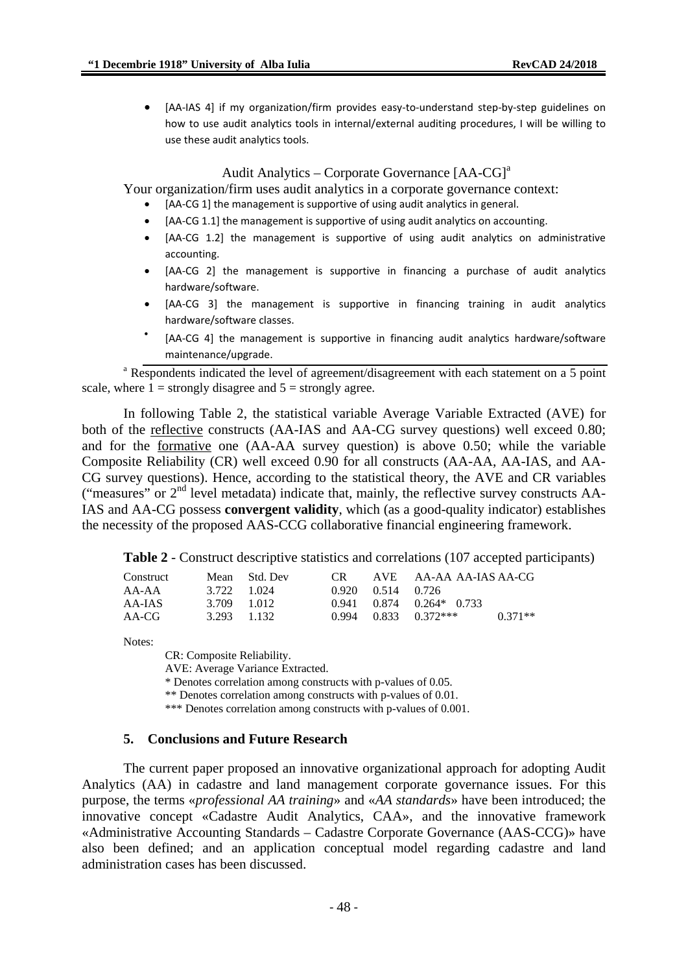• [AA‐IAS 4] if my organization/firm provides easy‐to‐understand step‐by‐step guidelines on how to use audit analytics tools in internal/external auditing procedures, I will be willing to use these audit analytics tools.

#### Audit Analytics – Corporate Governance  $[AA-CG]$ <sup>a</sup>

Your organization/firm uses audit analytics in a corporate governance context:

- [AA-CG 1] the management is supportive of using audit analytics in general.
- [AA-CG 1.1] the management is supportive of using audit analytics on accounting.
- [AA‐CG 1.2] the management is supportive of using audit analytics on administrative accounting.
- [AA-CG 2] the management is supportive in financing a purchase of audit analytics hardware/software.
- [AA‐CG 3] the management is supportive in financing training in audit analytics hardware/software classes.
- [AA-CG 4] the management is supportive in financing audit analytics hardware/software maintenance/upgrade.

<sup>a</sup> Respondents indicated the level of agreement/disagreement with each statement on a 5 point scale, where  $1 =$  strongly disagree and  $5 =$  strongly agree.

In following Table 2, the statistical variable Average Variable Extracted (AVE) for both of the reflective constructs (AA-IAS and AA-CG survey questions) well exceed 0.80; and for the formative one (AA-AA survey question) is above 0.50; while the variable Composite Reliability (CR) well exceed 0.90 for all constructs (AA-AA, AA-IAS, and AA-CG survey questions). Hence, according to the statistical theory, the AVE and CR variables ("measures" or 2nd level metadata) indicate that, mainly, the reflective survey constructs AA-IAS and AA-CG possess **convergent validity**, which (as a good-quality indicator) establishes the necessity of the proposed AAS-CCG collaborative financial engineering framework.

**Table 2** - Construct descriptive statistics and correlations (107 accepted participants)

| Construct |             | Mean Std. Dev | CR – |                   | AVE AA-AA AA-IAS AA-CG         |           |
|-----------|-------------|---------------|------|-------------------|--------------------------------|-----------|
| AA-AA     | 3.722 1.024 |               |      | 0.920 0.514 0.726 |                                |           |
| AA-IAS    | 3.709 1.012 |               |      |                   | $0.941$ $0.874$ $0.264*$ 0.733 |           |
| AA-CG     | 3.293 1.132 |               |      |                   | $0.994$ $0.833$ $0.372***$     | $0.371**$ |

Notes:

CR: Composite Reliability.

AVE: Average Variance Extracted.

\* Denotes correlation among constructs with p-values of 0.05.

\*\* Denotes correlation among constructs with p-values of 0.01.

\*\*\* Denotes correlation among constructs with p-values of 0.001.

#### **5. Conclusions and Future Research**

The current paper proposed an innovative organizational approach for adopting Audit Analytics (AA) in cadastre and land management corporate governance issues. For this purpose, the terms «*professional AA training*» and «*AA standards*» have been introduced; the innovative concept «Cadastre Audit Analytics, CAA», and the innovative framework «Administrative Accounting Standards – Cadastre Corporate Governance (AAS-CCG)» have also been defined; and an application conceptual model regarding cadastre and land administration cases has been discussed.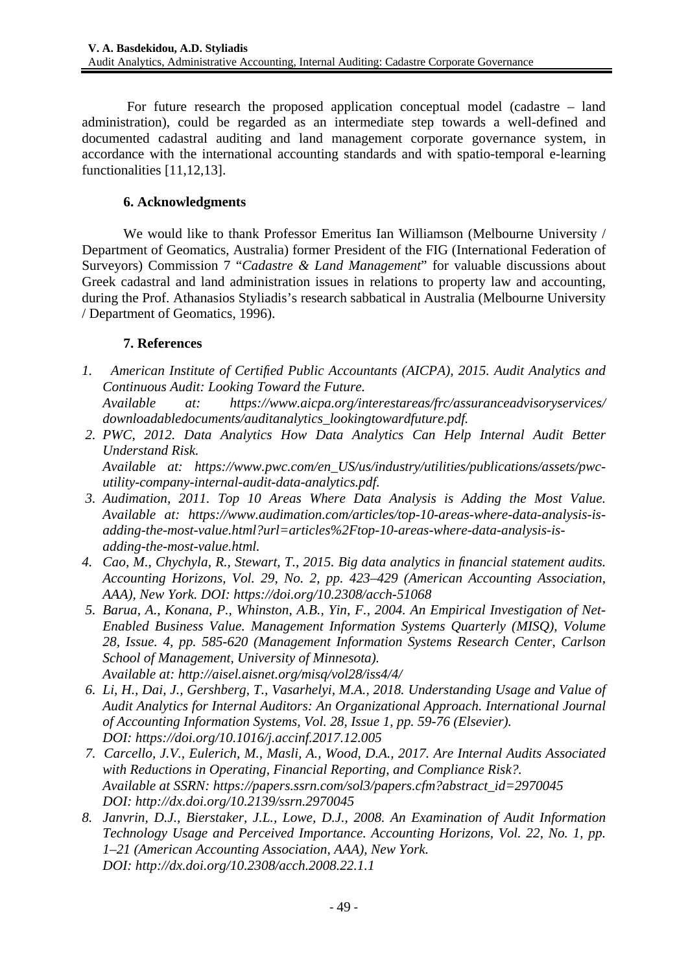For future research the proposed application conceptual model (cadastre – land administration), could be regarded as an intermediate step towards a well-defined and documented cadastral auditing and land management corporate governance system, in accordance with the international accounting standards and with spatio-temporal e-learning functionalities [11,12,13].

# **6. Acknowledgments**

We would like to thank Professor Emeritus Ian Williamson (Melbourne University / Department of Geomatics, Australia) former President of the FIG (International Federation of Surveyors) Commission 7 "*Cadastre & Land Management*" for valuable discussions about Greek cadastral and land administration issues in relations to property law and accounting, during the Prof. Athanasios Styliadis's research sabbatical in Australia (Melbourne University / Department of Geomatics, 1996).

### **7. References**

*1. American Institute of Certified Public Accountants (AICPA), 2015. Audit Analytics and Continuous Audit: Looking Toward the Future.* 

*Available at: https://www.aicpa.org/interestareas/frc/assuranceadvisoryservices/ downloadabledocuments/auditanalytics\_lookingtowardfuture.pdf.* 

- *2. PWC, 2012. Data Analytics How Data Analytics Can Help Internal Audit Better Understand Risk. Available at: https://www.pwc.com/en\_US/us/industry/utilities/publications/assets/pwcutility-company-internal-audit-data-analytics.pdf.*
- *3. Audimation, 2011. Top 10 Areas Where Data Analysis is Adding the Most Value. Available at: https://www.audimation.com/articles/top-10-areas-where-data-analysis-isadding-the-most-value.html?url=articles%2Ftop-10-areas-where-data-analysis-isadding-the-most-value.html.*
- *4. Cao, M., Chychyla, R., Stewart, T., 2015. Big data analytics in financial statement audits. Accounting Horizons, Vol. 29, No. 2, pp. 423–429 (American Accounting Association, AAA), New York. DOI: https://doi.org/10.2308/acch-51068*
- *5. Barua, A., Konana, P., Whinston, A.B., Yin, F., 2004. An Empirical Investigation of Net-Enabled Business Value. Management Information Systems Quarterly (MISQ), Volume 28, Issue. 4, pp. 585-620 (Management Information Systems Research Center, Carlson School of Management, University of Minnesota). Available at: http://aisel.aisnet.org/misq/vol28/iss4/4/*
- *6. Li, H., Dai, J., Gershberg, T., Vasarhelyi, M.A., 2018. Understanding Usage and Value of Audit Analytics for Internal Auditors: An Organizational Approach. International Journal of Accounting Information Systems, Vol. 28, Issue 1, pp. 59-76 (Elsevier). DOI: https://doi.org/10.1016/j.accinf.2017.12.005*
- *7. Carcello, J.V., Eulerich, M., Masli, A., Wood, D.A., 2017. Are Internal Audits Associated with Reductions in Operating, Financial Reporting, and Compliance Risk?. Available at SSRN: https://papers.ssrn.com/sol3/papers.cfm?abstract\_id=2970045 DOI: http://dx.doi.org/10.2139/ssrn.2970045*
- *8. Janvrin, D.J., Bierstaker, J.L., Lowe, D.J., 2008. An Examination of Audit Information Technology Usage and Perceived Importance. Accounting Horizons, Vol. 22, No. 1, pp. 1–21 (American Accounting Association, AAA), New York. DOI: http://dx.doi.org/10.2308/acch.2008.22.1.1*